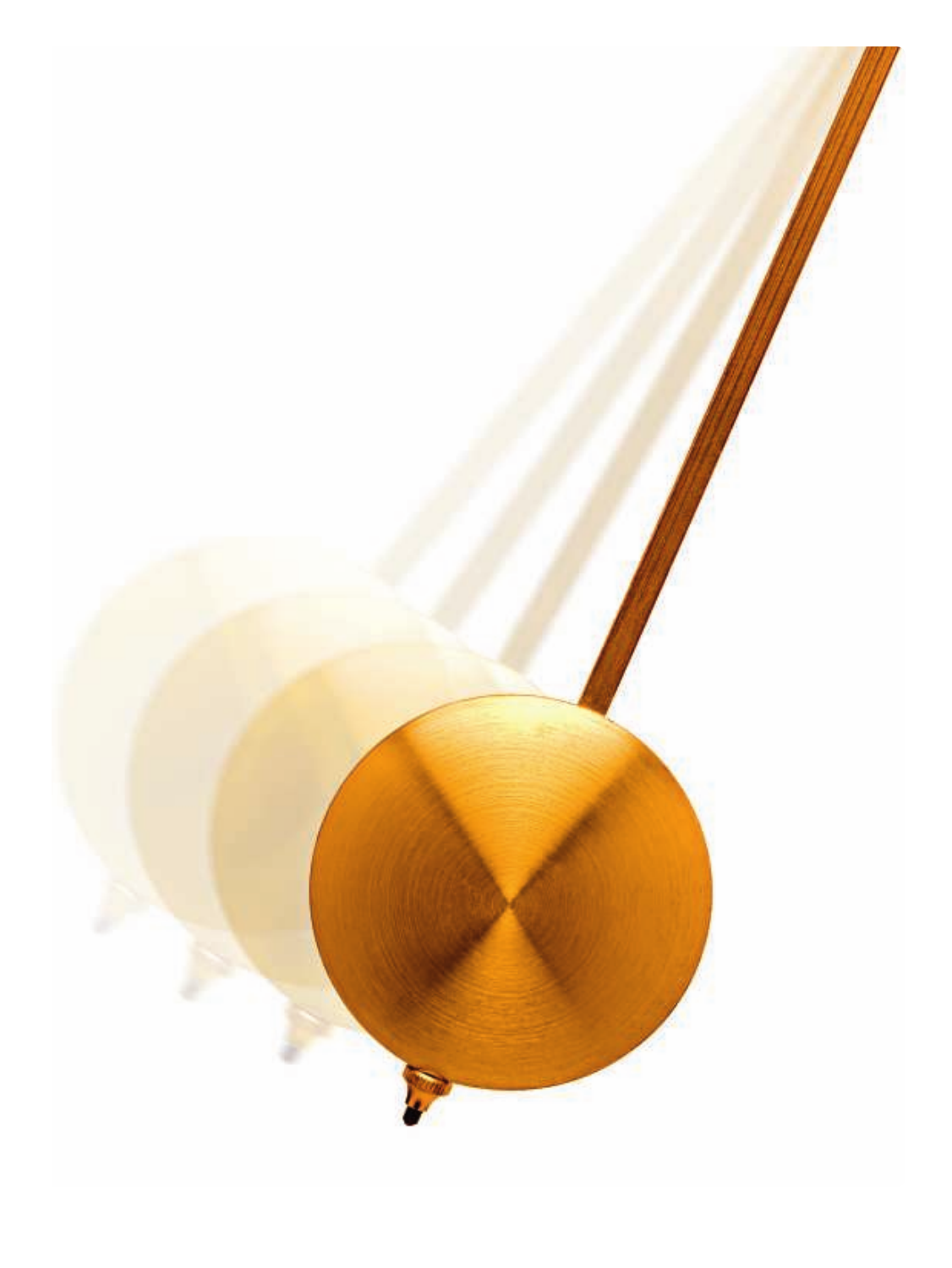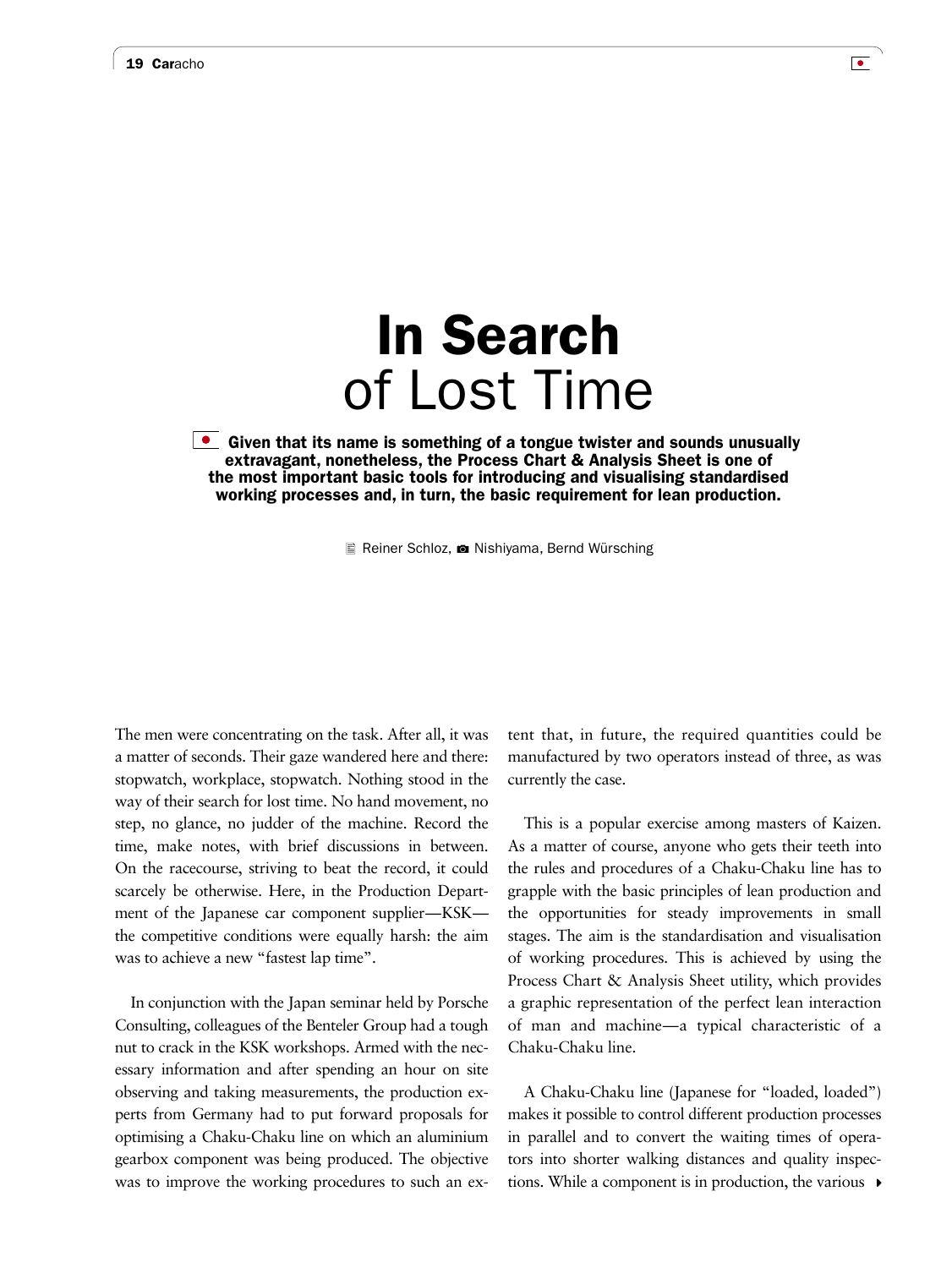## In Search of Lost Time

Given that its name is something of a tongue twister and sounds unusually extravagant, nonetheless, the Process Chart & Analysis Sheet is one of the most important basic tools for introducing and visualising standardised working processes and, in turn, the basic requirement for lean production.

**E** Reiner Schloz, **■** Nishiyama, Bernd Würsching

The men were concentrating on the task. After all, it was a matter of seconds. Their gaze wandered here and there: stopwatch, workplace, stopwatch. Nothing stood in the way of their search for lost time. No hand movement, no step, no glance, no judder of the machine. Record the time, make notes, with brief discussions in between. On the racecourse, striving to beat the record, it could scarcely be otherwise. Here, in the Production Department of the Japanese car component supplier—KSK the competitive conditions were equally harsh: the aim was to achieve a new "fastest lap time".

In conjunction with the Japan seminar held by Porsche Consulting, colleagues of the Benteler Group had a tough nut to crack in the KSK workshops. Armed with the necessary information and after spending an hour on site observing and taking measurements, the production experts from Germany had to put forward proposals for optimising a Chaku-Chaku line on which an aluminium gearbox component was being produced. The objective was to improve the working procedures to such an extent that, in future, the required quantities could be manufactured by two operators instead of three, as was currently the case.

This is a popular exercise among masters of Kaizen. As a matter of course, anyone who gets their teeth into the rules and procedures of a Chaku-Chaku line has to grapple with the basic principles of lean production and the opportunities for steady improvements in small stages. The aim is the standardisation and visualisation of working procedures. This is achieved by using the Process Chart & Analysis Sheet utility, which provides a graphic representation of the perfect lean interaction of man and machine—a typical characteristic of a Chaku-Chaku line.

A Chaku-Chaku line (Japanese for "loaded, loaded") makes it possible to control different production processes in parallel and to convert the waiting times of operators into shorter walking distances and quality inspections. While a component is in production, the various  $\rightarrow$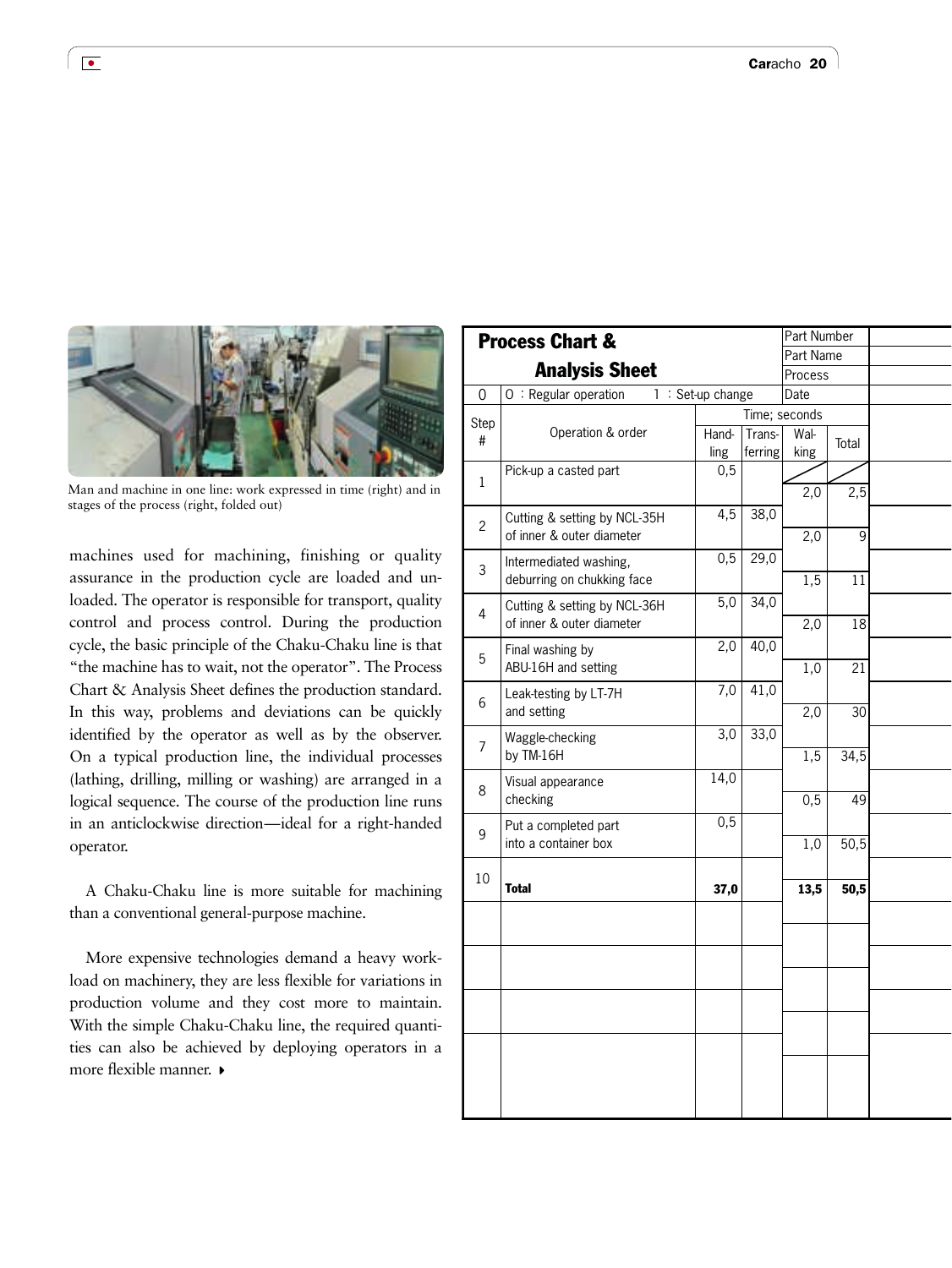Man and machine in one line: work expressed in time (right) and in stages of the process (right, folded out)

machines used for machining, finishing or quality assurance in the production cycle are loaded and unloaded. The operator is responsible for transport, quality control and process control. During the production cycle, the basic principle of the Chaku-Chaku line is that "the machine has to wait, not the operator". The Process Chart & Analysis Sheet defines the production standard. In this way, problems and deviations can be quickly identified by the operator as well as by the observer. On a typical production line, the individual processes (lathing, drilling, milling or washing) are arranged in a logical sequence. The course of the production line runs in an anticlockwise direction—ideal for a right-handed operator.

A Chaku-Chaku line is more suitable for machining than a conventional general-purpose machine.

More expensive technologies demand a heavy workload on machinery, they are less flexible for variations in production volume and they cost more to maintain. With the simple Chaku-Chaku line, the required quantities can also be achieved by deploying operators in a more flexible manner.

|                | <b>Process Chart &amp;</b>                                |                   |                   | Part Number          |                   |
|----------------|-----------------------------------------------------------|-------------------|-------------------|----------------------|-------------------|
|                | <b>Analysis Sheet</b>                                     |                   |                   | Part Name<br>Process |                   |
| $\mathbf 0$    | O : Regular operation                                     | 1 : Set-up change |                   | Date                 |                   |
|                |                                                           |                   |                   | Time; seconds        |                   |
| Step<br>$\#$   | Operation & order                                         | Hand-<br>ling     | Trans-<br>ferring | Wal-<br>king         | Total             |
| $\mathbf{1}$   | Pick-up a casted part                                     | 0,5               |                   | 2,0                  | 2,5               |
| $\overline{c}$ | Cutting & setting by NCL-35H<br>of inner & outer diameter | 4,5               | 38,0              | $\overline{2,0}$     | $\overline{9}$    |
| $\mathfrak{Z}$ | Intermediated washing,<br>deburring on chukking face      | 0,5               | 29,0              | 1,5                  | $\overline{11}$   |
| 4              | Cutting & setting by NCL-36H<br>of inner & outer diameter | $\overline{5,0}$  | 34,0              | $\overline{2,0}$     | $\overline{18}$   |
| 5              | Final washing by<br>ABU-16H and setting                   | $\overline{2,0}$  | 40,0              | 1,0                  | 21                |
| 6              | Leak-testing by LT-7H<br>and setting                      | 7,0               | 41,0              | 2,0                  | $\overline{30}$   |
| $\overline{7}$ | Waggle-checking<br>by TM-16H                              | $\overline{3,0}$  | 33,0              | 1,5                  | 34,5              |
| 8              | Visual appearance<br>checking                             | 14,0              |                   | 0,5                  | 49                |
| 9              | Put a completed part<br>into a container box              | 0,5               |                   | 1,0                  | 50,5              |
| 10             | <b>Total</b>                                              | 37,0              |                   | 13,5                 | $\overline{50,5}$ |
|                |                                                           |                   |                   |                      |                   |
|                |                                                           |                   |                   |                      |                   |
|                |                                                           |                   |                   |                      |                   |
|                |                                                           |                   |                   |                      |                   |
|                |                                                           |                   |                   |                      |                   |

 $\bullet$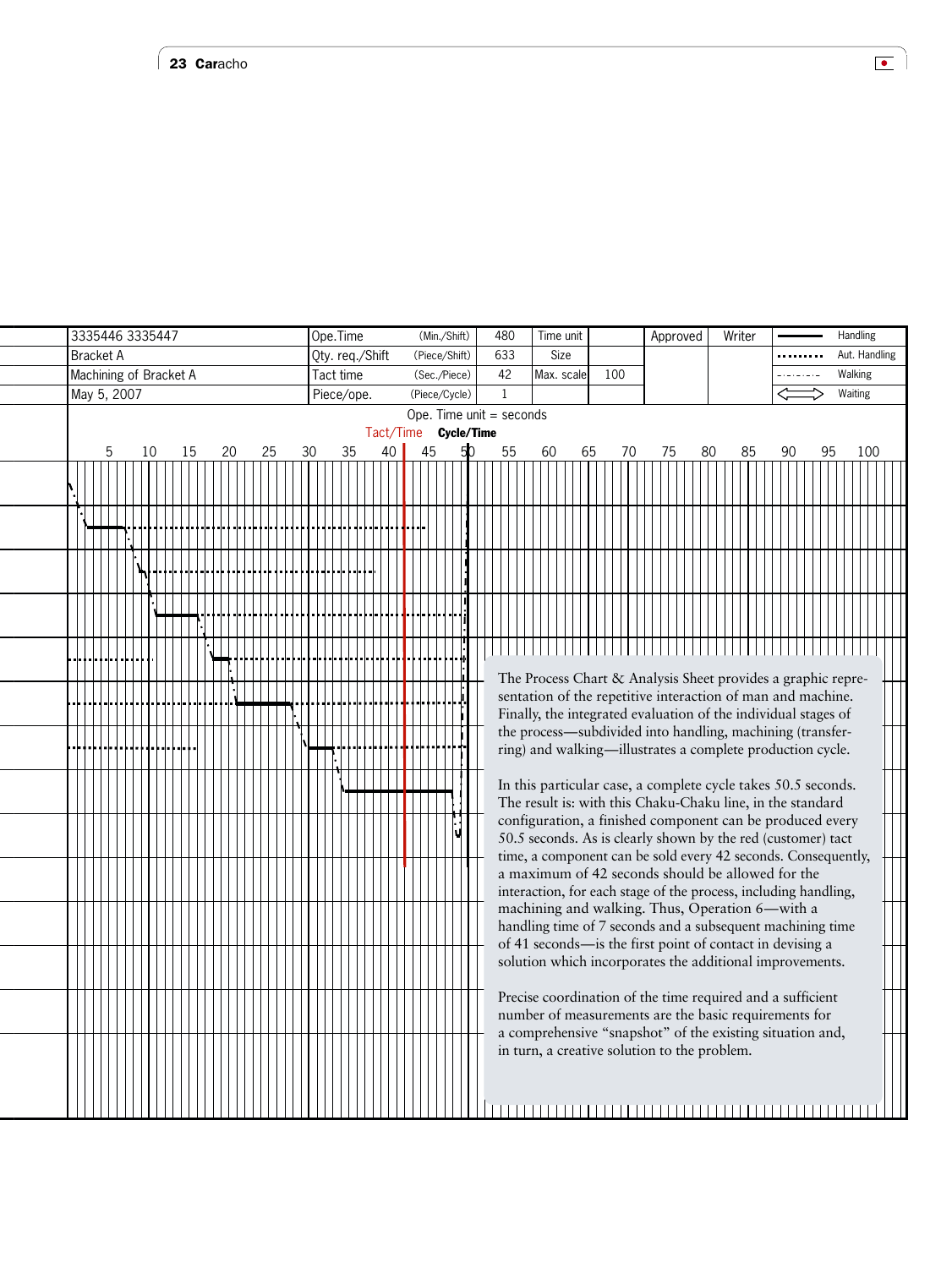

 $\overline{\bullet}$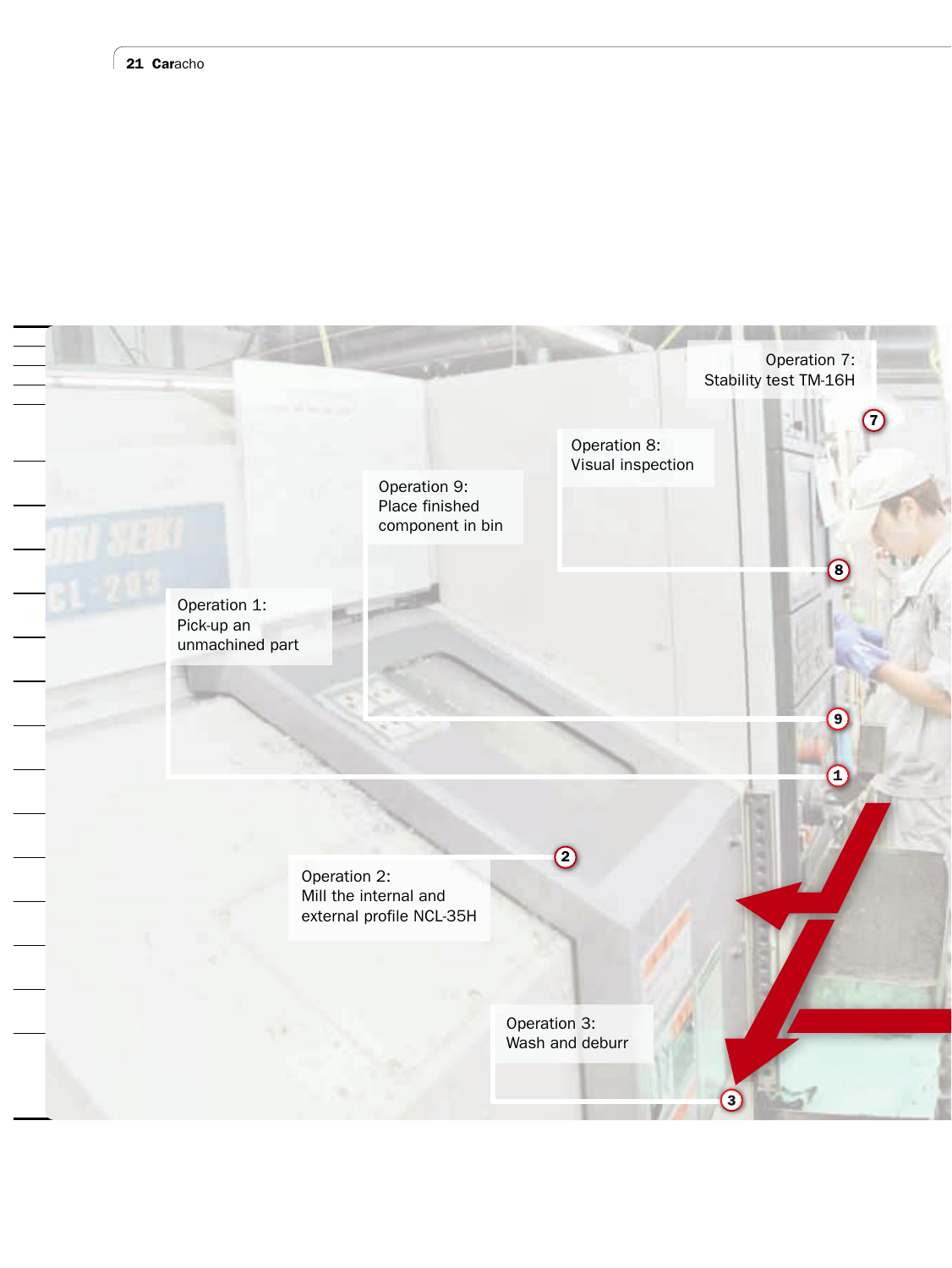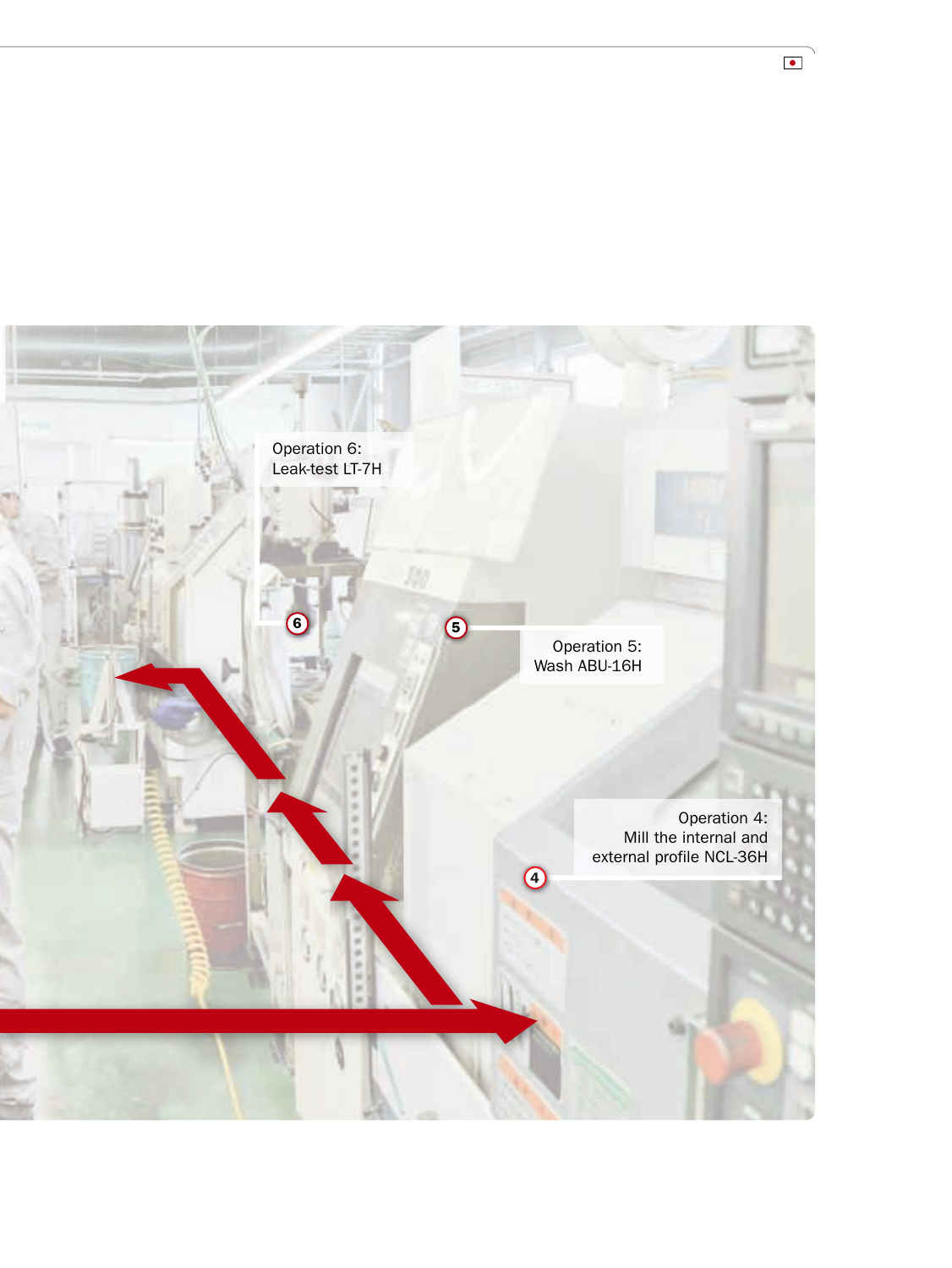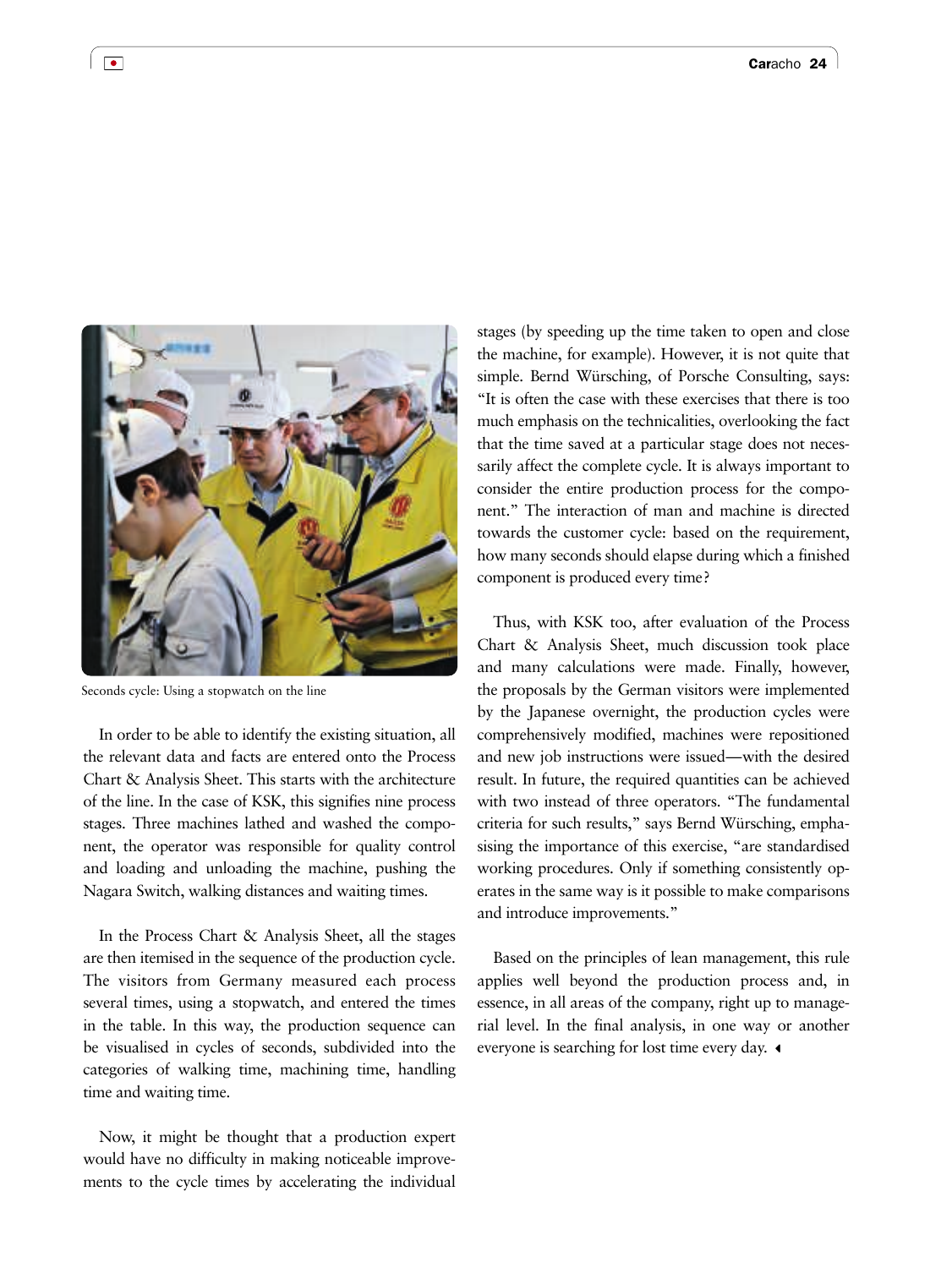

Seconds cycle: Using a stopwatch on the line

In order to be able to identify the existing situation, all the relevant data and facts are entered onto the Process Chart & Analysis Sheet. This starts with the architecture of the line. In the case of KSK, this signifies nine process stages. Three machines lathed and washed the component, the operator was responsible for quality control and loading and unloading the machine, pushing the Nagara Switch, walking distances and waiting times.

In the Process Chart & Analysis Sheet, all the stages are then itemised in the sequence of the production cycle. The visitors from Germany measured each process several times, using a stopwatch, and entered the times in the table. In this way, the production sequence can be visualised in cycles of seconds, subdivided into the categories of walking time, machining time, handling time and waiting time.

Now, it might be thought that a production expert would have no difficulty in making noticeable improvements to the cycle times by accelerating the individual stages (by speeding up the time taken to open and close the machine, for example). However, it is not quite that simple. Bernd Würsching, of Porsche Consulting, says: "It is often the case with these exercises that there is too much emphasis on the technicalities, overlooking the fact that the time saved at a particular stage does not necessarily affect the complete cycle. It is always important to consider the entire production process for the component." The interaction of man and machine is directed towards the customer cycle: based on the requirement, how many seconds should elapse during which a finished component is produced every time?

Thus, with KSK too, after evaluation of the Process Chart & Analysis Sheet, much discussion took place and many calculations were made. Finally, however, the proposals by the German visitors were implemented by the Japanese overnight, the production cycles were comprehensively modified, machines were repositioned and new job instructions were issued—with the desired result. In future, the required quantities can be achieved with two instead of three operators. "The fundamental criteria for such results," says Bernd Würsching, emphasising the importance of this exercise, "are standardised working procedures. Only if something consistently operates in the same way is it possible to make comparisons and introduce improvements."

Based on the principles of lean management, this rule applies well beyond the production process and, in essence, in all areas of the company, right up to managerial level. In the final analysis, in one way or another everyone is searching for lost time every day.  $\triangleleft$ 

 $\overline{\phantom{a}}$